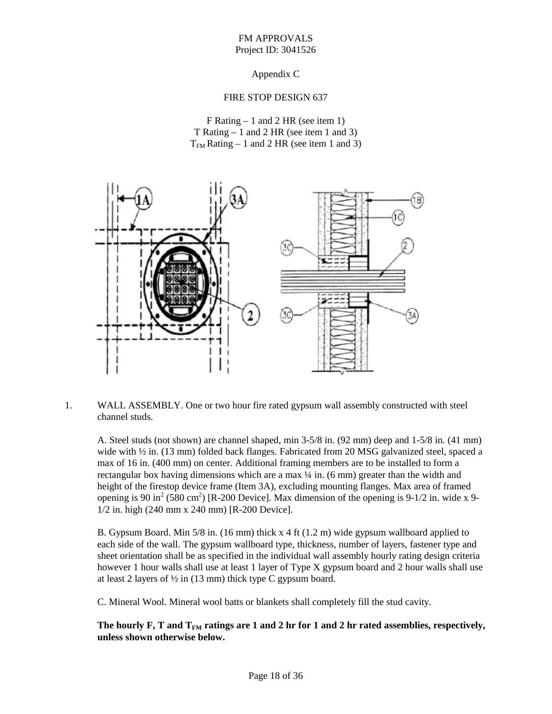## FM APPROVALS Project ID: 3041526

# Appendix C

### FIRE STOP DESIGN 637

F Rating – 1 and 2 HR (see item 1) T Rating – 1 and 2 HR (see item 1 and 3)  $T<sub>FM</sub> Rating - 1 and 2 HR (see item 1 and 3)$ 



1. WALL ASSEMBLY. One or two hour fire rated gypsum wall assembly constructed with steel channel studs.

A. Steel studs (not shown) are channel shaped, min 3-5/8 in. (92 mm) deep and 1-5/8 in. (41 mm) wide with  $\frac{1}{2}$  in. (13 mm) folded back flanges. Fabricated from 20 MSG galvanized steel, spaced a max of 16 in. (400 mm) on center. Additional framing members are to be installed to form a rectangular box having dimensions which are a max ¼ in. (6 mm) greater than the width and height of the firestop device frame (Item 3A), excluding mounting flanges. Max area of framed opening is 90 in<sup>2</sup> (580 cm<sup>2</sup>) [R-200 Device]. Max dimension of the opening is 9-1/2 in. wide x 9-1/2 in. high (240 mm x 240 mm) [R-200 Device].

B. Gypsum Board. Min 5/8 in. (16 mm) thick x 4 ft (1.2 m) wide gypsum wallboard applied to each side of the wall. The gypsum wallboard type, thickness, number of layers, fastener type and sheet orientation shall be as specified in the individual wall assembly hourly rating design criteria however 1 hour walls shall use at least 1 layer of Type X gypsum board and 2 hour walls shall use at least 2 layers of  $\frac{1}{2}$  in (13 mm) thick type C gypsum board.

C. Mineral Wool. Mineral wool batts or blankets shall completely fill the stud cavity.

The hourly  $\mathbf{F}, \mathbf{T}$  and  $\mathbf{T}_{\text{FM}}$  ratings are 1 and 2 hr for 1 and 2 hr rated assemblies, respectively, **unless shown otherwise below.**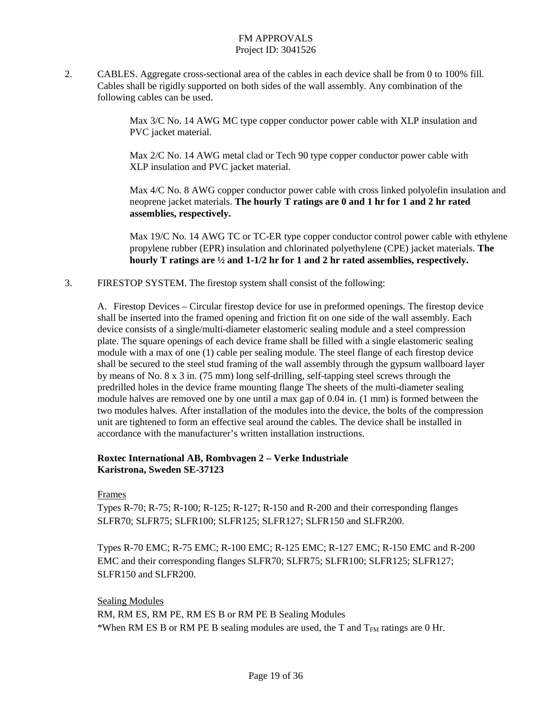## FM APPROVALS Project ID: 3041526

2. CABLES. Aggregate cross-sectional area of the cables in each device shall be from 0 to 100% fill. Cables shall be rigidly supported on both sides of the wall assembly. Any combination of the following cables can be used.

> Max 3/C No. 14 AWG MC type copper conductor power cable with XLP insulation and PVC jacket material.

Max 2/C No. 14 AWG metal clad or Tech 90 type copper conductor power cable with XLP insulation and PVC jacket material.

Max 4/C No. 8 AWG copper conductor power cable with cross linked polyolefin insulation and neoprene jacket materials. **The hourly T ratings are 0 and 1 hr for 1 and 2 hr rated assemblies, respectively.**

Max 19/C No. 14 AWG TC or TC-ER type copper conductor control power cable with ethylene propylene rubber (EPR) insulation and chlorinated polyethylene (CPE) jacket materials. **The hourly T ratings are ½ and 1-1/2 hr for 1 and 2 hr rated assemblies, respectively.**

3. FIRESTOP SYSTEM. The firestop system shall consist of the following:

A. Firestop Devices – Circular firestop device for use in preformed openings. The firestop device shall be inserted into the framed opening and friction fit on one side of the wall assembly. Each device consists of a single/multi-diameter elastomeric sealing module and a steel compression plate. The square openings of each device frame shall be filled with a single elastomeric sealing module with a max of one (1) cable per sealing module. The steel flange of each firestop device shall be secured to the steel stud framing of the wall assembly through the gypsum wallboard layer by means of No. 8 x 3 in. (75 mm) long self-drilling, self-tapping steel screws through the predrilled holes in the device frame mounting flange The sheets of the multi-diameter sealing module halves are removed one by one until a max gap of 0.04 in. (1 mm) is formed between the two modules halves. After installation of the modules into the device, the bolts of the compression unit are tightened to form an effective seal around the cables. The device shall be installed in accordance with the manufacturer's written installation instructions.

# **Roxtec International AB, Rombvagen 2 – Verke Industriale Karistrona, Sweden SE-37123**

#### Frames

Types R-70; R-75; R-100; R-125; R-127; R-150 and R-200 and their corresponding flanges SLFR70; SLFR75; SLFR100; SLFR125; SLFR127; SLFR150 and SLFR200.

Types R-70 EMC; R-75 EMC; R-100 EMC; R-125 EMC; R-127 EMC; R-150 EMC and R-200 EMC and their corresponding flanges SLFR70; SLFR75; SLFR100; SLFR125; SLFR127; SLFR150 and SLFR200.

Sealing Modules

RM, RM ES, RM PE, RM ES B or RM PE B Sealing Modules \*When RM ES B or RM PE B sealing modules are used, the T and  $T_{FM}$  ratings are 0 Hr.